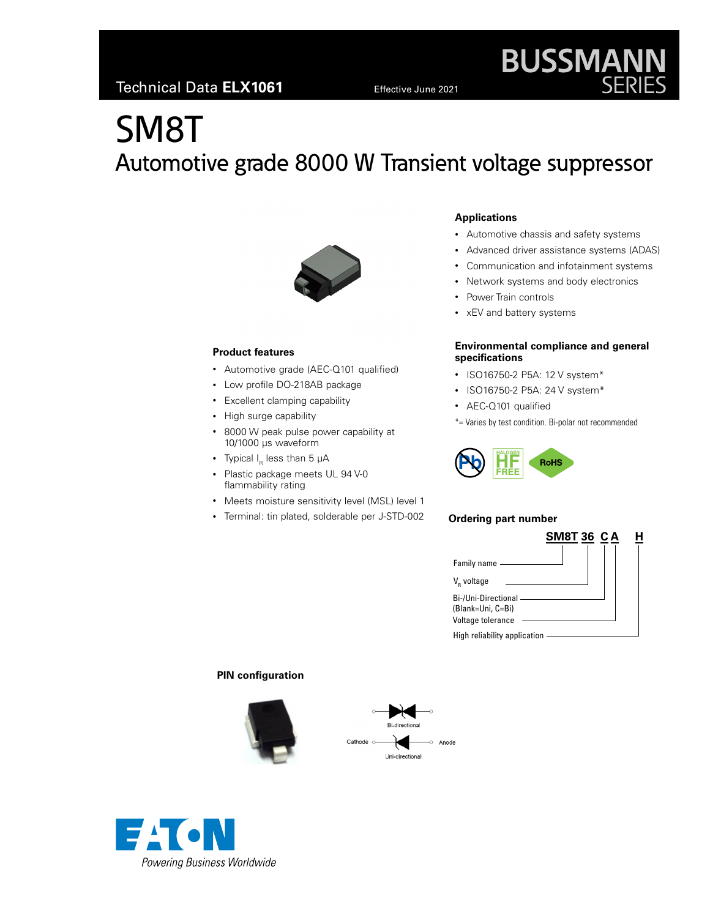# SM8T Automotive grade 8000 W Transient voltage suppressor



# **Product features**

- Automotive grade (AEC-Q101 qualified)
- Low profile DO-218AB package
- Excellent clamping capability
- High surge capability
- 8000 W peak pulse power capability at 10/1000 μs waveform
- Typical  $I_R$  less than 5  $\mu$ A
- Plastic package meets UL 94 V-0 flammability rating
- Meets moisture sensitivity level (MSL) level 1
- Terminal: tin plated, solderable per J-STD-002

# **Applications**

- Automotive chassis and safety systems
- Advanced driver assistance systems (ADAS)

**BUSSMANN**<br>SERIES

- Communication and infotainment systems
- Network systems and body electronics
- Power Train controls
- xEV and battery systems

### **Environmental compliance and general specifications**

- ISO16750-2 P5A: 12 V system\*
- ISO16750-2 P5A: 24 V system\*
- AEC-Q101 qualified
- \*= Varies by test condition. Bi-polar not recommended



### **Ordering part number**



# **PIN configuration**





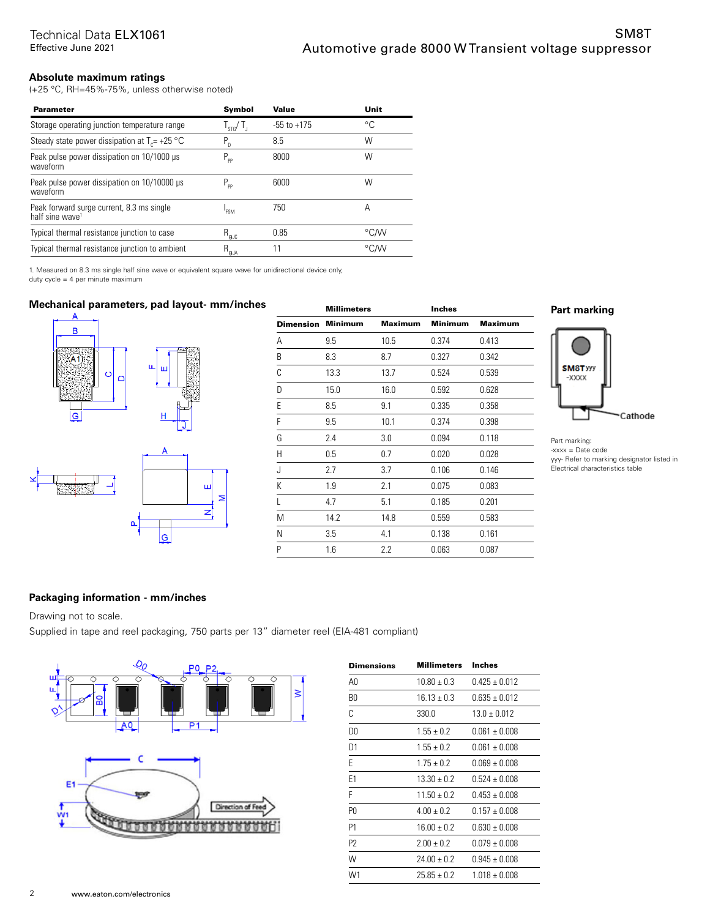# **Absolute maximum ratings**

(+25 °C, RH=45%-75%, unless otherwise noted)

| <b>Parameter</b>                                                         | <b>Symbol</b>               | Value           | Unit |
|--------------------------------------------------------------------------|-----------------------------|-----------------|------|
| Storage operating junction temperature range                             | $\frac{1}{2}$ $\frac{1}{2}$ | $-55$ to $+175$ | °C   |
| Steady state power dissipation at $T_c$ = +25 °C                         | $P_{n}$                     | 8.5             | W    |
| Peak pulse power dissipation on 10/1000 µs<br>waveform                   | $P_{\rm pp}$                | 8000            | W    |
| Peak pulse power dissipation on 10/10000 µs<br>waveform                  | $P_{\rm pp}$                | 6000            | W    |
| Peak forward surge current, 8.3 ms single<br>half sine wave <sup>1</sup> | <b>FSM</b>                  | 750             | А    |
| Typical thermal resistance junction to case                              | $R_{\theta \text{JC}}$      | 0.85            | °C/W |
| Typical thermal resistance junction to ambient                           | $R_{\theta JA}$             | 11              | °CM  |

1. Measured on 8.3 ms single half sine wave or equivalent square wave for unidirectional device only, duty cycle = 4 per minute maximum

# **Mechanical parameters, pad layout- mm/inches**<br>A



|                  | <b>Millimeters</b> |                | <b>Inches</b>  |                |
|------------------|--------------------|----------------|----------------|----------------|
| <b>Dimension</b> | <b>Minimum</b>     | <b>Maximum</b> | <b>Minimum</b> | <b>Maximum</b> |
| А                | 9.5                | 10.5           | 0.374          | 0.413          |
| B                | 8.3                | 8.7            | 0.327          | 0.342          |
| С                | 13.3               | 13.7           | 0.524          | 0.539          |
| D                | 15.0               | 16.0           | 0.592          | 0.628          |
| E                | 8.5                | 9.1            | 0.335          | 0.358          |
| F                | 9.5                | 10.1           | 0.374          | 0.398          |
| G                | 2.4                | 3.0            | 0.094          | 0.118          |
| Η                | 0.5                | 0.7            | 0.020          | 0.028          |
| J                | 2.7                | 3.7            | 0.106          | 0.146          |
| K                | 1.9                | 2.1            | 0.075          | 0.083          |
| L                | 4.7                | 5.1            | 0.185          | 0.201          |
| Μ                | 14.2               | 14.8           | 0.559          | 0.583          |
| Ν                | 3.5                | 4.1            | 0.138          | 0.161          |
| P                | 1.6                | 2.2            | 0.063          | 0.087          |

# **Part marking**



Part marking:  $-xxxx =$ Date code yyy- Refer to marking designator listed in Electrical characteristics table

# **Packaging information - mm/inches**

Drawing not to scale.

Supplied in tape and reel packaging, 750 parts per 13" diameter reel (EIA-481 compliant)

Σ



| Dimensions | Millimeters     | Inches            |
|------------|-----------------|-------------------|
| A0         | $10.80 \pm 0.3$ | $0.425 \pm 0.012$ |
| B0         | $16.13 \pm 0.3$ | $0.635 \pm 0.012$ |
| C          | 330.0           | $13.0 + 0.012$    |
| D0         | $1.55 + 0.2$    | $0.061 \pm 0.008$ |
| D1         | $1.55 + 0.2$    | $0.061 \pm 0.008$ |
| F          | $1.75 \pm 0.2$  | $0.069 \pm 0.008$ |
| F1         | $13.30 \pm 0.2$ | $0.524 \pm 0.008$ |
| F          | $11.50 \pm 0.2$ | $0.453 \pm 0.008$ |
| P0         | $4.00 + 0.2$    | $0.157 \pm 0.008$ |
| P1         | $16.00 \pm 0.2$ | $0.630 \pm 0.008$ |
| P2         | $2.00 + 0.2$    | $0.079 \pm 0.008$ |
| W          | $24.00 \pm 0.2$ | $0.945 \pm 0.008$ |
| W1         | $25.85 \pm 0.2$ | $1.018 \pm 0.008$ |
|            |                 |                   |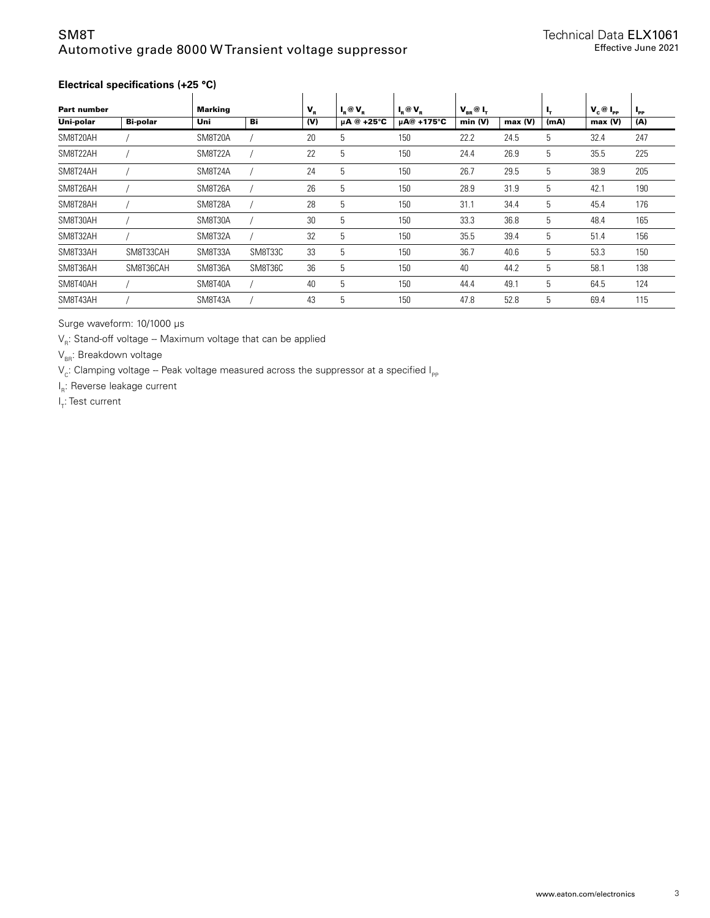# SM8T Automotive grade 8000 W Transient voltage suppressor

# **Electrical specifications (+25 °C)**

| <b>Part number</b> |                 | <b>Marking</b> |         | $V_{R}$ | $I_{\rm R}$ @ $V_{\rm R}$ | $I_{\rm R}$ @ $V_{\rm R}$ | $V_{BB}$ $@$ $I_{T}$ |        | ь,   | $V_c @ I_{PP}$ | $I_{\rm PP}$ |
|--------------------|-----------------|----------------|---------|---------|---------------------------|---------------------------|----------------------|--------|------|----------------|--------------|
| Uni-polar          | <b>Bi-polar</b> | Uni            | Bi      | (V)     | $\mu$ A @ +25°C           | µA@ +175°C                | min (V)              | max(V) | (mA) | max(V)         | (A)          |
| SM8T20AH           |                 | SM8T20A        |         | 20      | 5                         | 150                       | 22.2                 | 24.5   | 5    | 32.4           | 247          |
| SM8T22AH           |                 | SM8T22A        |         | 22      | 5                         | 150                       | 24.4                 | 26.9   | 5    | 35.5           | 225          |
| SM8T24AH           |                 | SM8T24A        |         | 24      | 5                         | 150                       | 26.7                 | 29.5   | 5    | 38.9           | 205          |
| SM8T26AH           |                 | SM8T26A        |         | 26      | 5                         | 150                       | 28.9                 | 31.9   | 5    | 42.1           | 190          |
| SM8T28AH           |                 | SM8T28A        |         | 28      | 5                         | 150                       | 31.1                 | 34.4   | 5    | 45.4           | 176          |
| SM8T30AH           |                 | SM8T30A        |         | 30      | 5                         | 150                       | 33.3                 | 36.8   | 5    | 48.4           | 165          |
| SM8T32AH           |                 | SM8T32A        |         | 32      | 5                         | 150                       | 35.5                 | 39.4   | 5    | 51.4           | 156          |
| SM8T33AH           | SM8T33CAH       | SM8T33A        | SM8T33C | 33      | 5                         | 150                       | 36.7                 | 40.6   | 5    | 53.3           | 150          |
| SM8T36AH           | SM8T36CAH       | SM8T36A        | SM8T36C | 36      | 5                         | 150                       | 40                   | 44.2   | 5    | 58.1           | 138          |
| SM8T40AH           |                 | SM8T40A        |         | 40      | 5                         | 150                       | 44.4                 | 49.1   | 5    | 64.5           | 124          |
| SM8T43AH           |                 | SM8T43A        |         | 43      | 5                         | 150                       | 47.8                 | 52.8   | 5    | 69.4           | 115          |

Surge waveform: 10/1000 μs

 $V_R$ : Stand-off voltage -- Maximum voltage that can be applied

 $V_{BR}$ : Breakdown voltage

 $V_c$ : Clamping voltage -- Peak voltage measured across the suppressor at a specified  $I_{PP}$ 

l<sub>R</sub>: Reverse leakage current

l<sub>T</sub>: Test current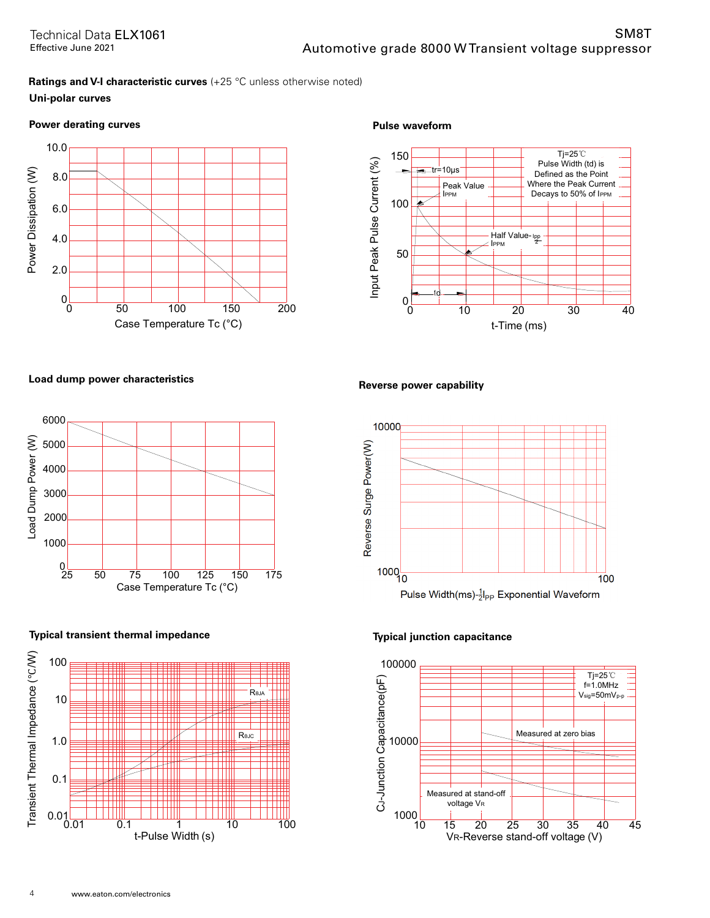# **Ratings and V-I characteristic curves** (+25 °C unless otherwise noted) **Uni-polar curves**

# **Power derating curves example and the example of the example of the example of the example of the example of the example of the example of the example of the example of the example of the example of the example of the exa**





# Load dump power characteristics **Reverse power capability**



# **Typical transient thermal impedance Typical junction capacitance**





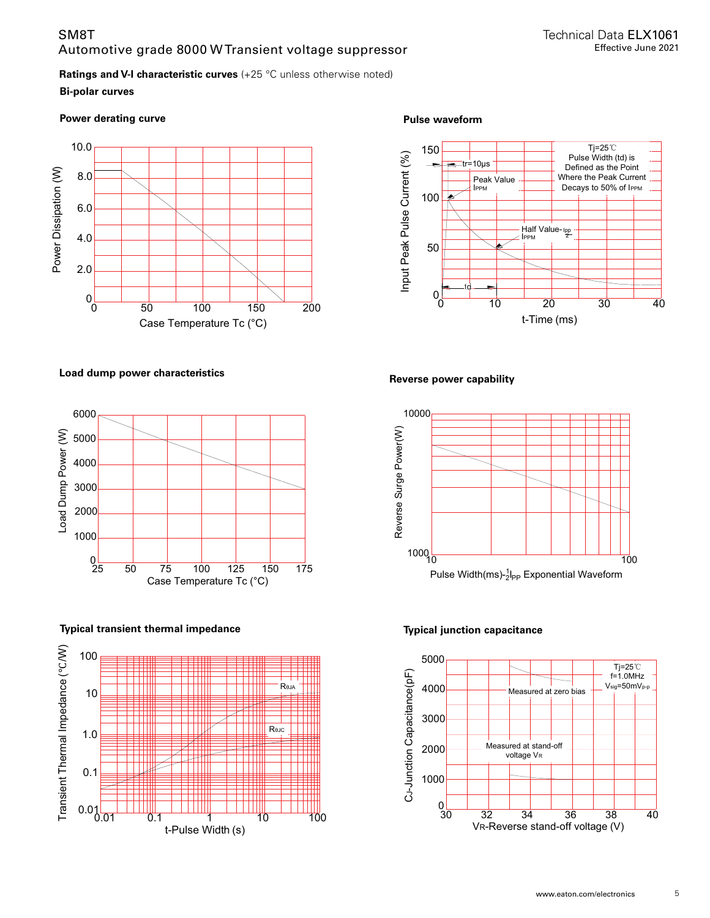# SM8T Automotive grade 8000 W Transient voltage suppressor

# **Ratings and V-I characteristic curves** (+25 °C unless otherwise noted)

# **Bi-polar curves**

Power derating curve **Pulse waveform Pulse waveform** 



# Load dump power characteristics **Reverse power capability**



# **Typical transient thermal impedance Typical junction capacitance**







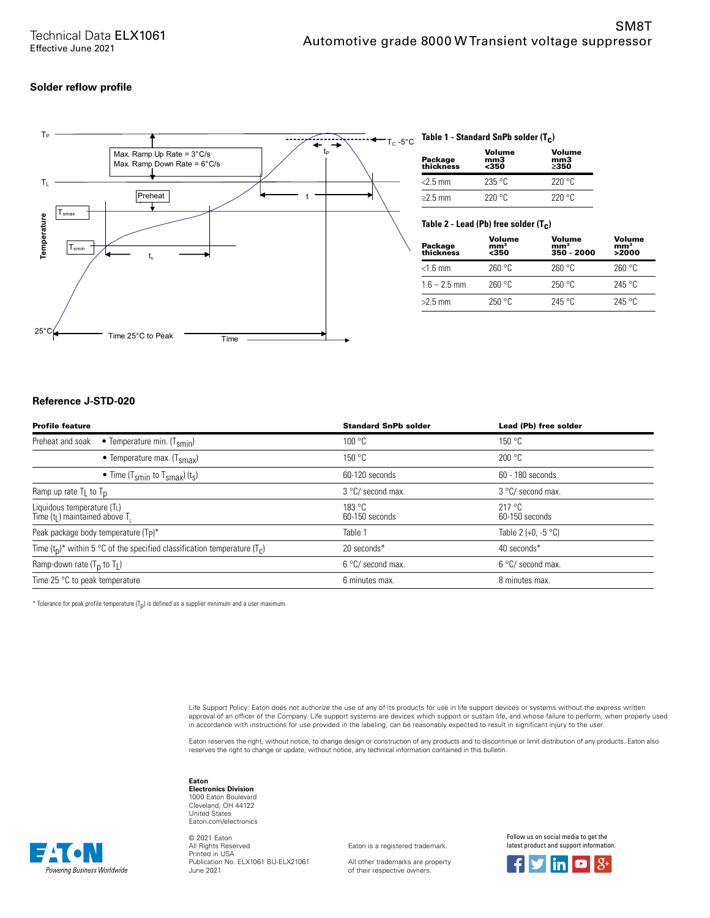### **Solder reflow profile**



# $_{\mathsf{T}_\mathbf{C}}$  -5°C  $\,$  Table 1 - Standard SnPb solder (T<sub>C</sub>)

| Package<br>thickness | Volume<br>mm <sub>3</sub><br><350 | Volume<br>mm3<br>>350 |
|----------------------|-----------------------------------|-----------------------|
| $<$ 2.5 mm           | 235 °C                            | 220°C                 |
| $\geq$ 2.5 mm        | 220°C                             | 220 °C                |

# **Table 2 - Lead (Pb) free solder (T c )**

| Package<br>thickness | Volume<br>mm <sup>3</sup><br>$350$ | Volume<br>mm <sup>3</sup><br>350 - 2000 | Volume<br>mm <sup>3</sup><br>>2000 |
|----------------------|------------------------------------|-----------------------------------------|------------------------------------|
| $<$ 1.6 mm           | 260 °C                             | 260 °C                                  | 260 °C                             |
| $1.6 - 2.5$ mm       | 260 °C                             | 250 °C                                  | 245 °C                             |
| $>2.5$ mm            | 250 °C                             | 245 °C                                  | 245 °C                             |

### **Reference J-STD-020**

Powerina Business Worldwide

| <b>Profile feature</b>                                                         | <b>Standard SnPb solder</b> | Lead (Pb) free solder    |
|--------------------------------------------------------------------------------|-----------------------------|--------------------------|
| Preheat and soak<br>• Temperature min. $(T_{smin})$                            | 100 °C                      | 150 °C                   |
| • Temperature max. $(Tsmax)$                                                   | 150 °C                      | 200 °C                   |
| • Time (T <sub>smin</sub> to T <sub>smax</sub> ) (t <sub>s</sub> )             | 60-120 seconds              | 60 - 180 seconds         |
| Ramp up rate $T_L$ to $T_D$                                                    | 3 °C/ second max.           | 3 °C/ second max.        |
| Liquidous temperature (TL)<br>Time (t <sub>l</sub> ) maintained above T.       | 183 °C<br>60-150 seconds    | 217 °C<br>60-150 seconds |
| Peak package body temperature (Tp)*                                            | Table 1                     | Table 2 (+0, $-5$ °C)    |
| Time $(t_0)^*$ within 5 °C of the specified classification temperature $(T_c)$ | 20 seconds*                 | 40 seconds*              |
| Ramp-down rate $(T_p$ to $T_l$ )                                               | 6 °C/ second max.           | 6 °C/ second max.        |
| Time 25 $\degree$ C to peak temperature                                        | 6 minutes max.              | 8 minutes max.           |

 $^*$  Tolerance for peak profile temperature (T<sub>p</sub>) is defined as a supplier minimum and a user maximum.

Life Support Policy: Eaton does not authorize the use of any of its products for use in life support devices or systems without the express written approval of an officer of the Company. Life support systems are devices which support or sustain life, and whose failure to perform, when properly used in accordance with instructions for use provided in the labeling, can be reasonably expected to result in significant injury to the user.

Eaton reserves the right, without notice, to change design or construction of any products and to discontinue or limit distribution of any products. Eaton also<br>reserves the right to change or update, without notice, any te

**Eaton Electronics Division** 1000 Eaton Boulevard Cleveland, OH 44122 United States Eaton.com/electronics

© 2021 Eaton All Rights Reserved Printed in USA Publication No. ELX1061 BU-ELX21061 June 2021

Eaton is a registered trademark.

All other trademarks are property of their respective owners.

Follow us on social media to get the latest product and support information.